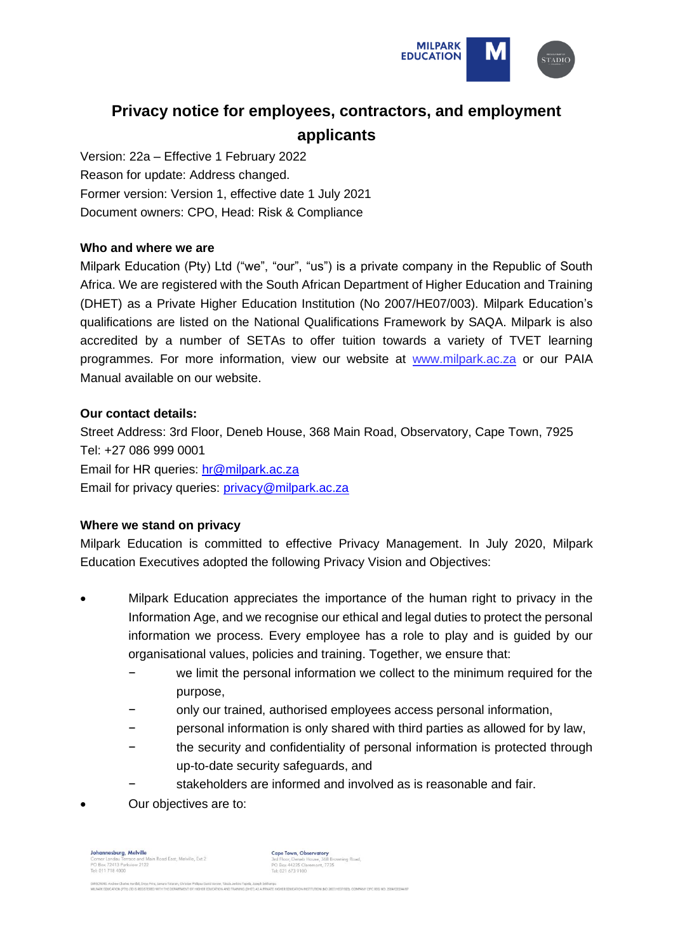

# **Privacy notice for employees, contractors, and employment applicants**

Version: 22a – Effective 1 February 2022 Reason for update: Address changed. Former version: Version 1, effective date 1 July 2021 Document owners: CPO, Head: Risk & Compliance

#### **Who and where we are**

Milpark Education (Pty) Ltd ("we", "our", "us") is a private company in the Republic of South Africa. We are registered with the South African Department of Higher Education and Training (DHET) as a Private Higher Education Institution (No 2007/HE07/003). Milpark Education's qualifications are listed on the National Qualifications Framework by SAQA. Milpark is also accredited by a number of SETAs to offer tuition towards a variety of TVET learning programmes. For more information, view our website at [www.milpark.ac.za](http://www.milpark.ac.za/) or our PAIA Manual available on our website.

## **Our contact details:**

Street Address: 3rd Floor, Deneb House, 368 Main Road, Observatory, Cape Town, 7925 Tel: +27 086 999 0001 Email for HR queries: [hr@milpark.ac.za](mailto:hr@milpark.ac.za) Email for privacy queries: *privacy@milpark.ac.za* 

#### **Where we stand on privacy**

Milpark Education is committed to effective Privacy Management. In July 2020, Milpark Education Executives adopted the following Privacy Vision and Objectives:

- Milpark Education appreciates the importance of the human right to privacy in the Information Age, and we recognise our ethical and legal duties to protect the personal information we process. Every employee has a role to play and is guided by our organisational values, policies and training. Together, we ensure that:
	- we limit the personal information we collect to the minimum required for the purpose,
	- only our trained, authorised employees access personal information,
	- − personal information is only shared with third parties as allowed for by law,
	- the security and confidentiality of personal information is protected through up-to-date security safeguards, and
	- stakeholders are informed and involved as is reasonable and fair.
- Our objectives are to:

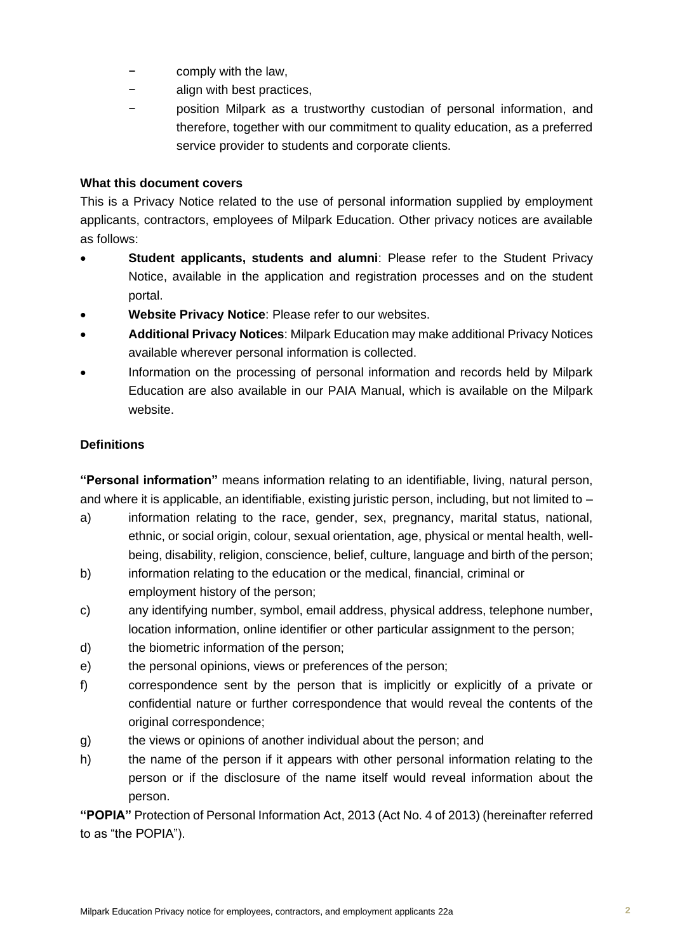- comply with the law.
- align with best practices,
- position Milpark as a trustworthy custodian of personal information, and therefore, together with our commitment to quality education, as a preferred service provider to students and corporate clients.

### **What this document covers**

This is a Privacy Notice related to the use of personal information supplied by employment applicants, contractors, employees of Milpark Education. Other privacy notices are available as follows:

- **Student applicants, students and alumni: Please refer to the Student Privacy** Notice, available in the application and registration processes and on the student portal.
- **Website Privacy Notice**: Please refer to our websites.
- **Additional Privacy Notices**: Milpark Education may make additional Privacy Notices available wherever personal information is collected.
- Information on the processing of personal information and records held by Milpark Education are also available in our PAIA Manual, which is available on the Milpark website.

# **Definitions**

**"Personal information"** means information relating to an identifiable, living, natural person, and where it is applicable, an identifiable, existing juristic person, including, but not limited to –

- a) information relating to the race, gender, sex, pregnancy, marital status, national, ethnic, or social origin, colour, sexual orientation, age, physical or mental health, wellbeing, disability, religion, conscience, belief, culture, language and birth of the person;
- b) information relating to the education or the medical, financial, criminal or employment history of the person;
- c) any identifying number, symbol, email address, physical address, telephone number, location information, online identifier or other particular assignment to the person;
- d) the biometric information of the person;
- e) the personal opinions, views or preferences of the person;
- f) correspondence sent by the person that is implicitly or explicitly of a private or confidential nature or further correspondence that would reveal the contents of the original correspondence;
- g) the views or opinions of another individual about the person; and
- h) the name of the person if it appears with other personal information relating to the person or if the disclosure of the name itself would reveal information about the person.

**"POPIA"** Protection of Personal Information Act, 2013 (Act No. 4 of 2013) (hereinafter referred to as "the POPIA").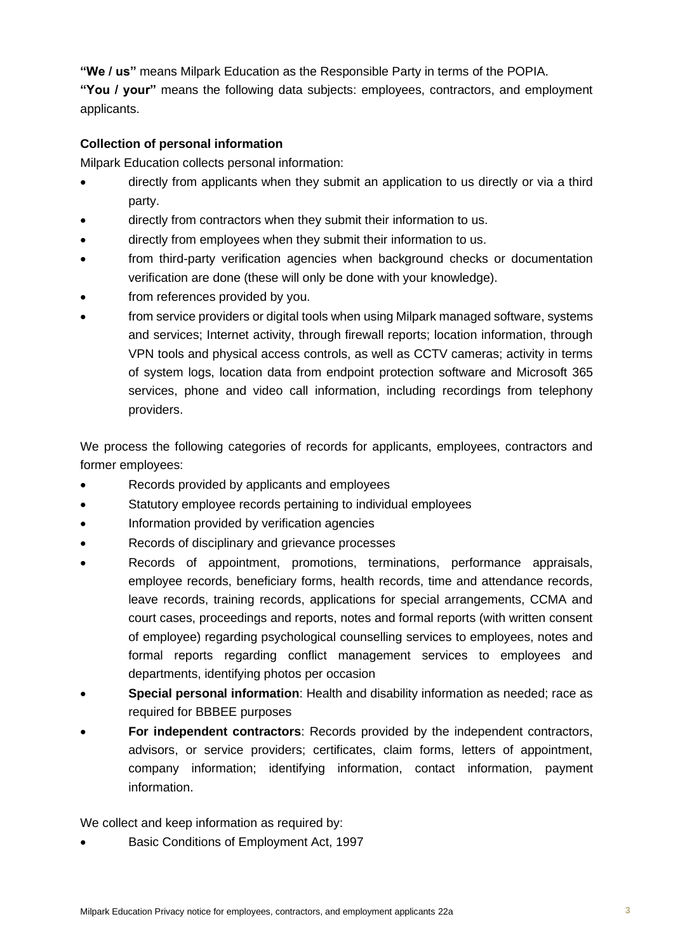**"We / us"** means Milpark Education as the Responsible Party in terms of the POPIA. **"You / your"** means the following data subjects: employees, contractors, and employment applicants.

# **Collection of personal information**

Milpark Education collects personal information:

- directly from applicants when they submit an application to us directly or via a third party.
- directly from contractors when they submit their information to us.
- directly from employees when they submit their information to us.
- from third-party verification agencies when background checks or documentation verification are done (these will only be done with your knowledge).
- from references provided by you.
- from service providers or digital tools when using Milpark managed software, systems and services; Internet activity, through firewall reports; location information, through VPN tools and physical access controls, as well as CCTV cameras; activity in terms of system logs, location data from endpoint protection software and Microsoft 365 services, phone and video call information, including recordings from telephony providers.

We process the following categories of records for applicants, employees, contractors and former employees:

- Records provided by applicants and employees
- Statutory employee records pertaining to individual employees
- Information provided by verification agencies
- Records of disciplinary and grievance processes
- Records of appointment, promotions, terminations, performance appraisals, employee records, beneficiary forms, health records, time and attendance records, leave records, training records, applications for special arrangements, CCMA and court cases, proceedings and reports, notes and formal reports (with written consent of employee) regarding psychological counselling services to employees, notes and formal reports regarding conflict management services to employees and departments, identifying photos per occasion
- **Special personal information**: Health and disability information as needed; race as required for BBBEE purposes
- **For independent contractors**: Records provided by the independent contractors, advisors, or service providers; certificates, claim forms, letters of appointment, company information; identifying information, contact information, payment information.

We collect and keep information as required by:

• Basic Conditions of Employment Act, 1997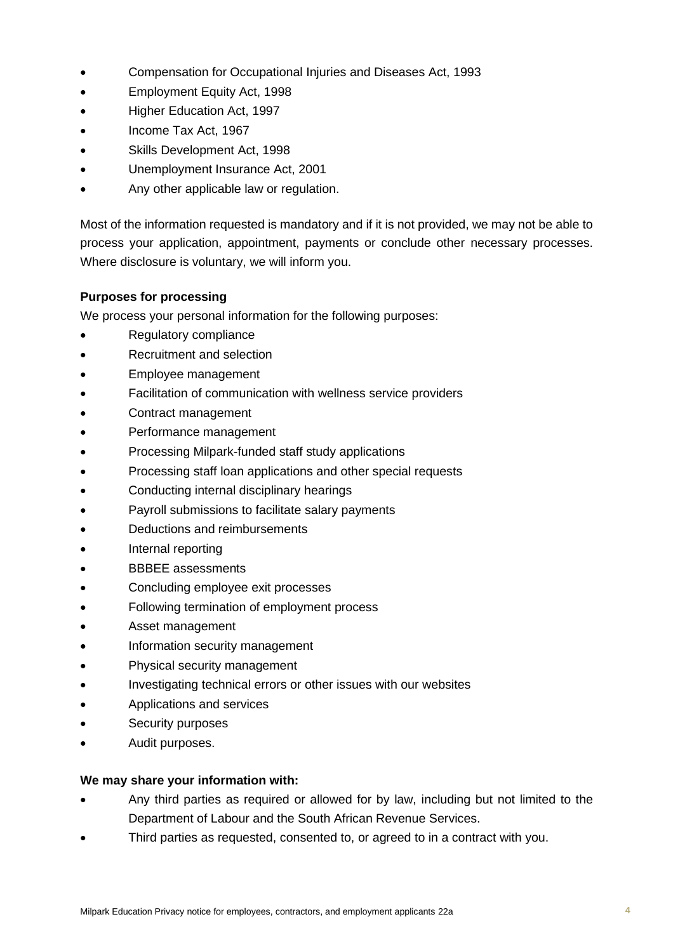- Compensation for Occupational Injuries and Diseases Act, 1993
- Employment Equity Act, 1998
- Higher Education Act, 1997
- Income Tax Act, 1967
- Skills Development Act, 1998
- Unemployment Insurance Act, 2001
- Any other applicable law or regulation.

Most of the information requested is mandatory and if it is not provided, we may not be able to process your application, appointment, payments or conclude other necessary processes. Where disclosure is voluntary, we will inform you.

## **Purposes for processing**

We process your personal information for the following purposes:

- Regulatory compliance
- Recruitment and selection
- Employee management
- Facilitation of communication with wellness service providers
- Contract management
- Performance management
- Processing Milpark-funded staff study applications
- Processing staff loan applications and other special requests
- Conducting internal disciplinary hearings
- Payroll submissions to facilitate salary payments
- Deductions and reimbursements
- Internal reporting
- BBBEE assessments
- Concluding employee exit processes
- Following termination of employment process
- Asset management
- Information security management
- Physical security management
- Investigating technical errors or other issues with our websites
- Applications and services
- Security purposes
- Audit purposes.

#### **We may share your information with:**

- Any third parties as required or allowed for by law, including but not limited to the Department of Labour and the South African Revenue Services.
- Third parties as requested, consented to, or agreed to in a contract with you.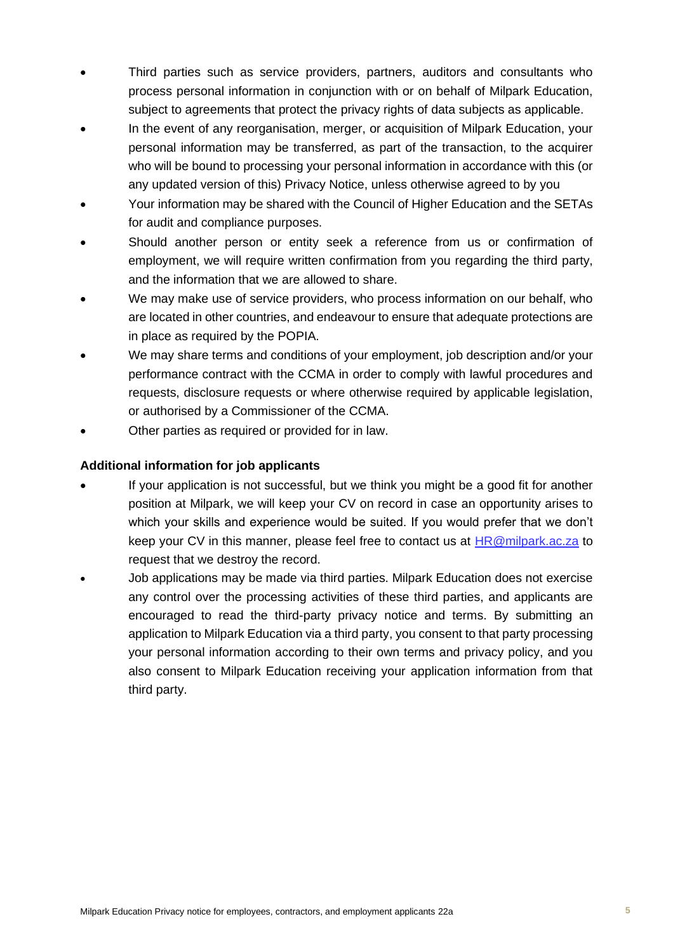- Third parties such as service providers, partners, auditors and consultants who process personal information in conjunction with or on behalf of Milpark Education, subject to agreements that protect the privacy rights of data subjects as applicable.
- In the event of any reorganisation, merger, or acquisition of Milpark Education, your personal information may be transferred, as part of the transaction, to the acquirer who will be bound to processing your personal information in accordance with this (or any updated version of this) Privacy Notice, unless otherwise agreed to by you
- Your information may be shared with the Council of Higher Education and the SETAs for audit and compliance purposes.
- Should another person or entity seek a reference from us or confirmation of employment, we will require written confirmation from you regarding the third party, and the information that we are allowed to share.
- We may make use of service providers, who process information on our behalf, who are located in other countries, and endeavour to ensure that adequate protections are in place as required by the POPIA.
- We may share terms and conditions of your employment, job description and/or your performance contract with the CCMA in order to comply with lawful procedures and requests, disclosure requests or where otherwise required by applicable legislation, or authorised by a Commissioner of the CCMA.
- Other parties as required or provided for in law.

# **Additional information for job applicants**

- If your application is not successful, but we think you might be a good fit for another position at Milpark, we will keep your CV on record in case an opportunity arises to which your skills and experience would be suited. If you would prefer that we don't keep your CV in this manner, please feel free to contact us at [HR@milpark.ac.za](mailto:HR@milpark.ac.za) to request that we destroy the record.
- Job applications may be made via third parties. Milpark Education does not exercise any control over the processing activities of these third parties, and applicants are encouraged to read the third-party privacy notice and terms. By submitting an application to Milpark Education via a third party, you consent to that party processing your personal information according to their own terms and privacy policy, and you also consent to Milpark Education receiving your application information from that third party.